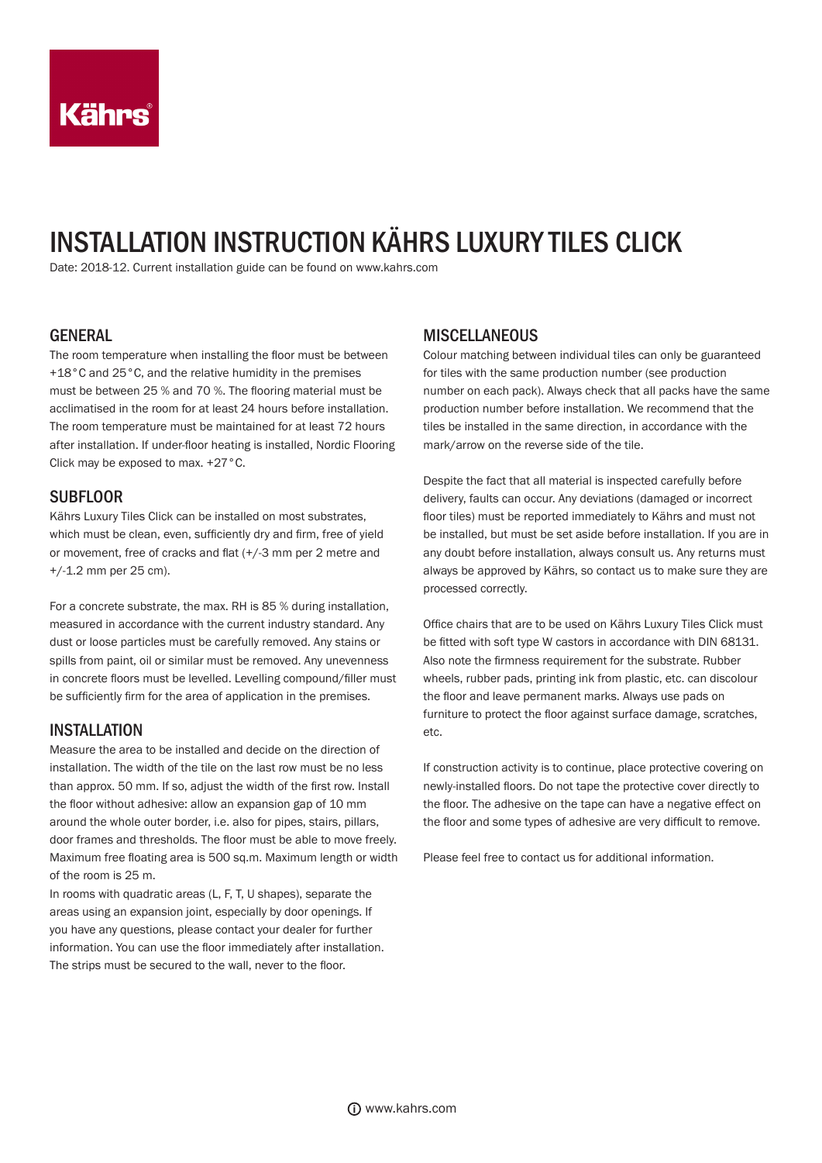# INSTALLATION INSTRUCTION KÄHRS LUXURY TILES CLICK

Date: 2018-12. Current installation guide can be found on www.kahrs.com

#### GENERAL

The room temperature when installing the floor must be between +18°C and 25°C, and the relative humidity in the premises must be between 25 % and 70 %. The flooring material must be acclimatised in the room for at least 24 hours before installation. The room temperature must be maintained for at least 72 hours after installation. If under-floor heating is installed, Nordic Flooring Click may be exposed to max. +27°C.

#### **SUBFLOOR**

Kährs Luxury Tiles Click can be installed on most substrates, which must be clean, even, sufficiently dry and firm, free of yield or movement, free of cracks and flat (+/-3 mm per 2 metre and +/-1.2 mm per 25 cm).

For a concrete substrate, the max. RH is 85 % during installation, measured in accordance with the current industry standard. Any dust or loose particles must be carefully removed. Any stains or spills from paint, oil or similar must be removed. Any unevenness in concrete floors must be levelled. Levelling compound/filler must be sufficiently firm for the area of application in the premises.

#### **INSTALLATION**

Measure the area to be installed and decide on the direction of installation. The width of the tile on the last row must be no less than approx. 50 mm. If so, adjust the width of the first row. Install the floor without adhesive: allow an expansion gap of 10 mm around the whole outer border, i.e. also for pipes, stairs, pillars, door frames and thresholds. The floor must be able to move freely. Maximum free floating area is 500 sq.m. Maximum length or width of the room is 25 m.

In rooms with quadratic areas (L, F, T, U shapes), separate the areas using an expansion joint, especially by door openings. If you have any questions, please contact your dealer for further information. You can use the floor immediately after installation. The strips must be secured to the wall, never to the floor.

#### **MISCELLANEOUS**

Colour matching between individual tiles can only be guaranteed for tiles with the same production number (see production number on each pack). Always check that all packs have the same production number before installation. We recommend that the tiles be installed in the same direction, in accordance with the mark/arrow on the reverse side of the tile.

Despite the fact that all material is inspected carefully before delivery, faults can occur. Any deviations (damaged or incorrect floor tiles) must be reported immediately to Kährs and must not be installed, but must be set aside before installation. If you are in any doubt before installation, always consult us. Any returns must always be approved by Kährs, so contact us to make sure they are processed correctly.

Office chairs that are to be used on Kährs Luxury Tiles Click must be fitted with soft type W castors in accordance with DIN 68131. Also note the firmness requirement for the substrate. Rubber wheels, rubber pads, printing ink from plastic, etc. can discolour the floor and leave permanent marks. Always use pads on furniture to protect the floor against surface damage, scratches, etc.

If construction activity is to continue, place protective covering on newly-installed floors. Do not tape the protective cover directly to the floor. The adhesive on the tape can have a negative effect on the floor and some types of adhesive are very difficult to remove.

Please feel free to contact us for additional information.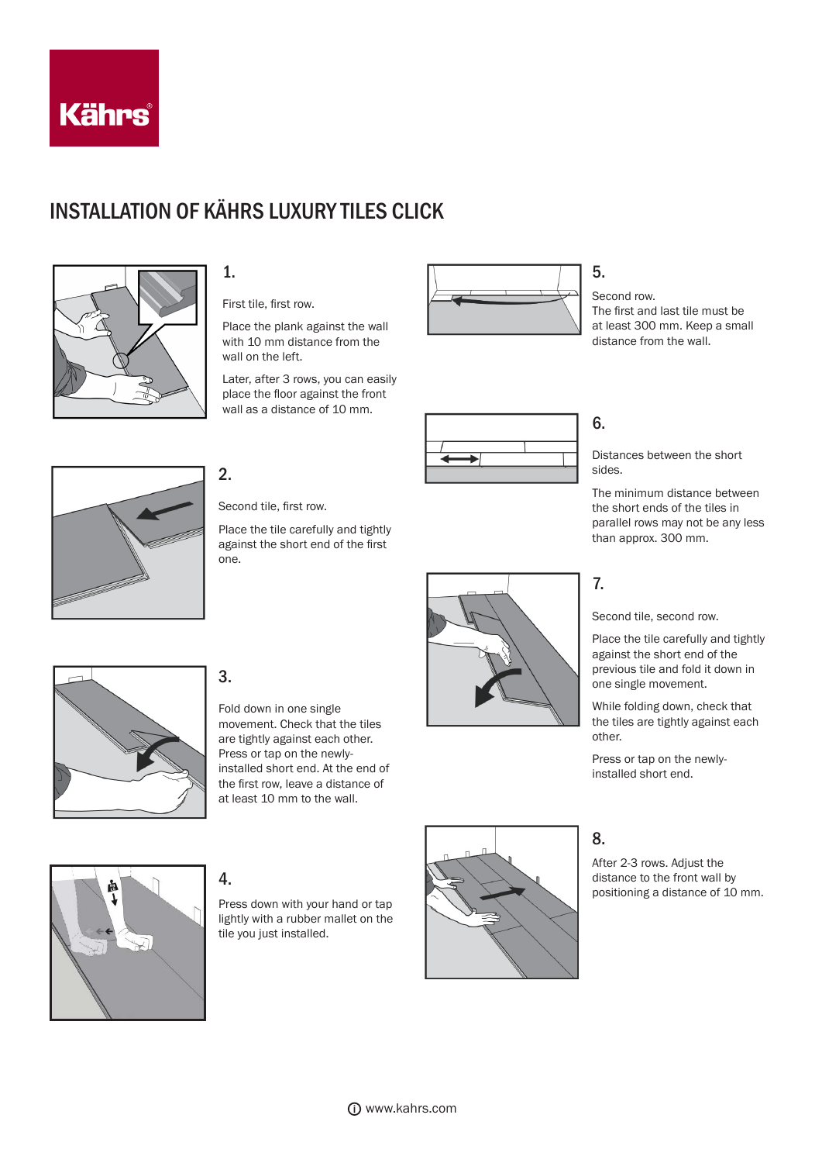

# INSTALLATION OF KÄHRS LUXURY TILES CLICK



## 1.

First tile, first row.

Place the plank against the wall with 10 mm distance from the wall on the left.

Later, after 3 rows, you can easily place the floor against the front wall as a distance of 10 mm.



### 5.

Second row. The first and last tile must be at least 300 mm. Keep a small distance from the wall.

2.

Second tile, first row.

Place the tile carefully and tightly against the short end of the first one.



## 6.

Distances between the short sides.

The minimum distance between the short ends of the tiles in parallel rows may not be any less than approx. 300 mm.

## 7.

Second tile, second row.

Place the tile carefully and tightly against the short end of the previous tile and fold it down in one single movement.

While folding down, check that the tiles are tightly against each other.

Press or tap on the newlyinstalled short end.

# 8.

After 2-3 rows. Adjust the distance to the front wall by positioning a distance of 10 mm.



# 3.

Fold down in one single movement. Check that the tiles are tightly against each other. Press or tap on the newlyinstalled short end. At the end of the first row, leave a distance of at least 10 mm to the wall.



### 4.

Press down with your hand or tap lightly with a rubber mallet on the tile you just installed.